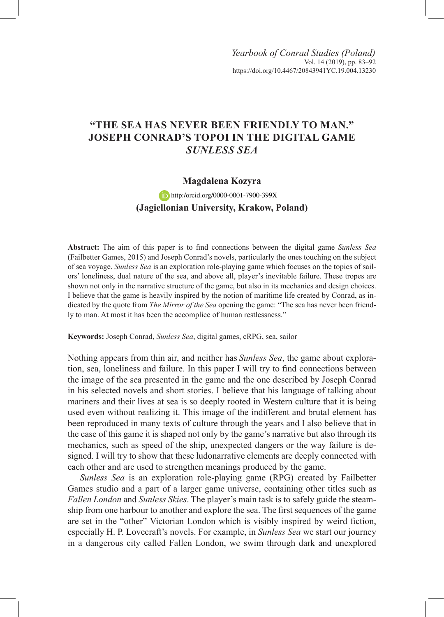## **"THE SEA HAS NEVER BEEN FRIENDLY TO MAN." JOSEPH CONRAD'S TOPOI IN THE DIGITAL GAME**  *SUNLESS SEA*

## **Magdalena Kozyra**

**(Jagiellonian University, Krakow, Poland)** http:/orcid.org/0000-0001-7900-399X

**Abstract:** The aim of this paper is to find connections between the digital game *Sunless Sea*  (Failbetter Games, 2015) and Joseph Conrad's novels, particularly the ones touching on the subject of sea voyage. *Sunless Sea* is an exploration role-playing game which focuses on the topics of sailors' loneliness, dual nature of the sea, and above all, player's inevitable failure. These tropes are shown not only in the narrative structure of the game, but also in its mechanics and design choices. I believe that the game is heavily inspired by the notion of maritime life created by Conrad, as indicated by the quote from *The Mirror of the Sea* opening the game: "The sea has never been friendly to man. At most it has been the accomplice of human restlessness."

**Keywords:** Joseph Conrad, *Sunless Sea*, digital games, cRPG, sea, sailor

Nothing appears from thin air, and neither has *Sunless Sea*, the game about exploration, sea, loneliness and failure. In this paper I will try to find connections between the image of the sea presented in the game and the one described by Joseph Conrad in his selected novels and short stories. I believe that his language of talking about mariners and their lives at sea is so deeply rooted in Western culture that it is being used even without realizing it. This image of the indifferent and brutal element has been reproduced in many texts of culture through the years and I also believe that in the case of this game it is shaped not only by the game's narrative but also through its mechanics, such as speed of the ship, unexpected dangers or the way failure is designed. I will try to show that these ludonarrative elements are deeply connected with each other and are used to strengthen meanings produced by the game.

*Sunless Sea* is an exploration role-playing game (RPG) created by Failbetter Games studio and a part of a larger game universe, containing other titles such as *Fallen London* and *Sunless Skies*. The player's main task is to safely guide the steamship from one harbour to another and explore the sea. The first sequences of the game are set in the "other" Victorian London which is visibly inspired by weird fiction, especially H. P. Lovecraft's novels. For example, in *Sunless Sea* we start our journey in a dangerous city called Fallen London, we swim through dark and unexplored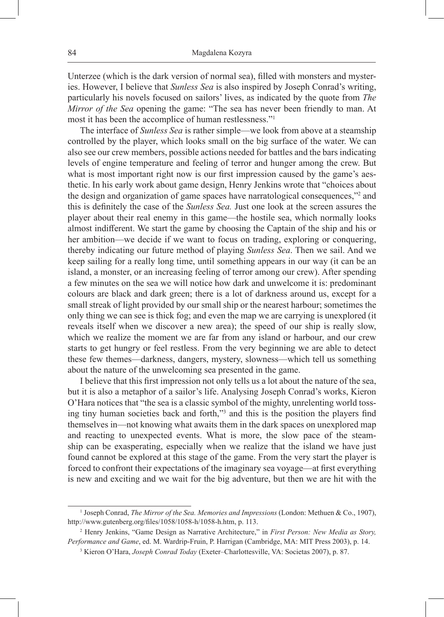Unterzee (which is the dark version of normal sea), filled with monsters and mysteries. However, I believe that *Sunless Sea* is also inspired by Joseph Conrad's writing, particularly his novels focused on sailors' lives, as indicated by the quote from *The Mirror of the Sea* opening the game: "The sea has never been friendly to man. At most it has been the accomplice of human restlessness."<sup>1</sup>

The interface of *Sunless Sea* is rather simple—we look from above at a steamship controlled by the player, which looks small on the big surface of the water. We can also see our crew members, possible actions needed for battles and the bars indicating levels of engine temperature and feeling of terror and hunger among the crew. But what is most important right now is our first impression caused by the game's aesthetic. In his early work about game design, Henry Jenkins wrote that "choices about the design and organization of game spaces have narratological consequences,"<sup>2</sup> and this is definitely the case of the *Sunless Sea.* Just one look at the screen assures the player about their real enemy in this game—the hostile sea, which normally looks almost indifferent. We start the game by choosing the Captain of the ship and his or her ambition—we decide if we want to focus on trading, exploring or conquering, thereby indicating our future method of playing *Sunless Sea*. Then we sail. And we keep sailing for a really long time, until something appears in our way (it can be an island, a monster, or an increasing feeling of terror among our crew). After spending a few minutes on the sea we will notice how dark and unwelcome it is: predominant colours are black and dark green; there is a lot of darkness around us, except for a small streak of light provided by our small ship or the nearest harbour; sometimes the only thing we can see is thick fog; and even the map we are carrying is unexplored (it reveals itself when we discover a new area); the speed of our ship is really slow, which we realize the moment we are far from any island or harbour, and our crew starts to get hungry or feel restless. From the very beginning we are able to detect these few themes—darkness, dangers, mystery, slowness—which tell us something about the nature of the unwelcoming sea presented in the game.

I believe that this first impression not only tells us a lot about the nature of the sea, but it is also a metaphor of a sailor's life. Analysing Joseph Conrad's works, Kieron O'Hara notices that "the sea is a classic symbol of the mighty, unrelenting world tossing tiny human societies back and forth,"<sup>3</sup> and this is the position the players find themselves in—not knowing what awaits them in the dark spaces on unexplored map and reacting to unexpected events. What is more, the slow pace of the steamship can be exasperating, especially when we realize that the island we have just found cannot be explored at this stage of the game. From the very start the player is forced to confront their expectations of the imaginary sea voyage—at first everything is new and exciting and we wait for the big adventure, but then we are hit with the

<sup>&</sup>lt;sup>1</sup> Joseph Conrad, *The Mirror of the Sea. Memories and Impressions* (London: Methuen & Co., 1907), http://www.gutenberg.org/files/1058/1058-h/1058-h.htm, p. 113.

<sup>2</sup> Henry Jenkins, "Game Design as Narrative Architecture," in *First Person: New Media as Story, Performance and Game*, ed. M. Wardrip-Fruin, P. Harrigan (Cambridge, MA: MIT Press 2003), p. 14.

<sup>3</sup> Kieron O'Hara, *Joseph Conrad Today* (Exeter–Charlottesville, VA: Societas 2007), p. 87.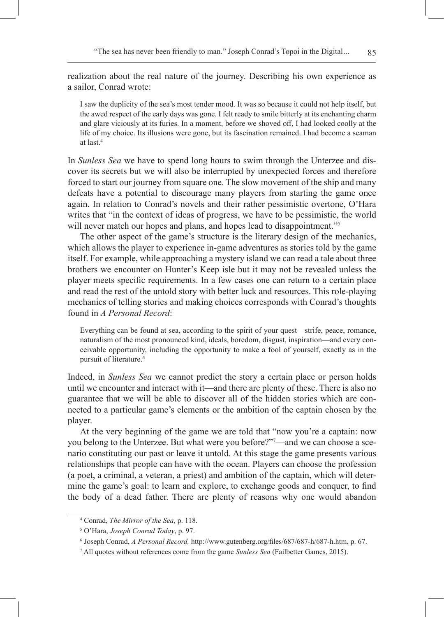realization about the real nature of the journey. Describing his own experience as a sailor, Conrad wrote:

I saw the duplicity of the sea's most tender mood. It was so because it could not help itself, but the awed respect of the early days was gone. I felt ready to smile bitterly at its enchanting charm and glare viciously at its furies. In a moment, before we shoved off, I had looked coolly at the life of my choice. Its illusions were gone, but its fascination remained. I had become a seaman at last.4

In *Sunless Sea* we have to spend long hours to swim through the Unterzee and discover its secrets but we will also be interrupted by unexpected forces and therefore forced to start our journey from square one. The slow movement of the ship and many defeats have a potential to discourage many players from starting the game once again. In relation to Conrad's novels and their rather pessimistic overtone, O'Hara writes that "in the context of ideas of progress, we have to be pessimistic, the world will never match our hopes and plans, and hopes lead to disappointment."<sup>5</sup>

The other aspect of the game's structure is the literary design of the mechanics, which allows the player to experience in-game adventures as stories told by the game itself. For example, while approaching a mystery island we can read a tale about three brothers we encounter on Hunter's Keep isle but it may not be revealed unless the player meets specific requirements. In a few cases one can return to a certain place and read the rest of the untold story with better luck and resources. This role-playing mechanics of telling stories and making choices corresponds with Conrad's thoughts found in *A Personal Record*:

Everything can be found at sea, according to the spirit of your quest—strife, peace, romance, naturalism of the most pronounced kind, ideals, boredom, disgust, inspiration—and every conceivable opportunity, including the opportunity to make a fool of yourself, exactly as in the pursuit of literature.<sup>6</sup>

Indeed, in *Sunless Sea* we cannot predict the story a certain place or person holds until we encounter and interact with it—and there are plenty of these. There is also no guarantee that we will be able to discover all of the hidden stories which are connected to a particular game's elements or the ambition of the captain chosen by the player.

At the very beginning of the game we are told that "now you're a captain: now you belong to the Unterzee. But what were you before?"7 —and we can choose a scenario constituting our past or leave it untold. At this stage the game presents various relationships that people can have with the ocean. Players can choose the profession (a poet, a criminal, a veteran, a priest) and ambition of the captain, which will determine the game's goal: to learn and explore, to exchange goods and conquer, to find the body of a dead father. There are plenty of reasons why one would abandon

<sup>4</sup> Conrad, *The Mirror of the Sea*, p. 118.

<sup>5</sup> O'Hara, *Joseph Conrad Today*, p. 97.

<sup>6</sup> Joseph Conrad, *A Personal Record,* http://www.gutenberg.org/files/687/687-h/687-h.htm, p. 67.

<sup>7</sup> All quotes without references come from the game *Sunless Sea* (Failbetter Games, 2015).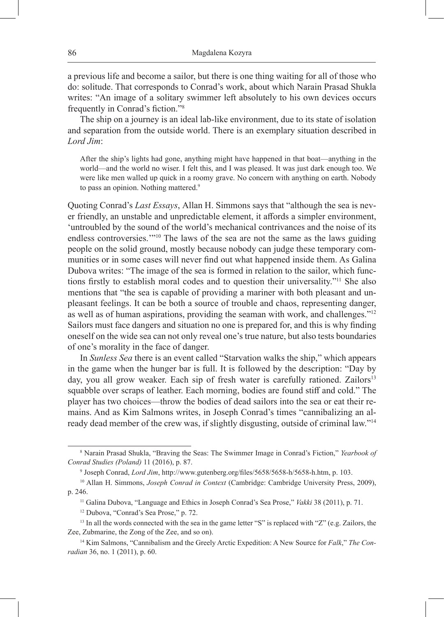a previous life and become a sailor, but there is one thing waiting for all of those who do: solitude. That corresponds to Conrad's work, about which Narain Prasad Shukla writes: "An image of a solitary swimmer left absolutely to his own devices occurs frequently in Conrad's fiction."<sup>8</sup>

The ship on a journey is an ideal lab-like environment, due to its state of isolation and separation from the outside world. There is an exemplary situation described in *Lord Jim*:

After the ship's lights had gone, anything might have happened in that boat—anything in the world—and the world no wiser. I felt this, and I was pleased. It was just dark enough too. We were like men walled up quick in a roomy grave. No concern with anything on earth. Nobody to pass an opinion. Nothing mattered.<sup>9</sup>

Quoting Conrad's *Last Essays*, Allan H. Simmons says that "although the sea is never friendly, an unstable and unpredictable element, it affords a simpler environment, 'untroubled by the sound of the world's mechanical contrivances and the noise of its endless controversies.'"10 The laws of the sea are not the same as the laws guiding people on the solid ground, mostly because nobody can judge these temporary communities or in some cases will never find out what happened inside them. As Galina Dubova writes: "The image of the sea is formed in relation to the sailor, which functions firstly to establish moral codes and to question their universality."11 She also mentions that "the sea is capable of providing a mariner with both pleasant and unpleasant feelings. It can be both a source of trouble and chaos, representing danger, as well as of human aspirations, providing the seaman with work, and challenges."<sup>12</sup> Sailors must face dangers and situation no one is prepared for, and this is why finding oneself on the wide sea can not only reveal one's true nature, but also tests boundaries of one's morality in the face of danger.

In *Sunless Sea* there is an event called "Starvation walks the ship," which appears in the game when the hunger bar is full. It is followed by the description: "Day by day, you all grow weaker. Each sip of fresh water is carefully rationed. Zailors<sup>13</sup> squabble over scraps of leather. Each morning, bodies are found stiff and cold." The player has two choices—throw the bodies of dead sailors into the sea or eat their remains. And as Kim Salmons writes, in Joseph Conrad's times "cannibalizing an already dead member of the crew was, if slightly disgusting, outside of criminal law."<sup>14</sup>

<sup>8</sup> Narain Prasad Shukla, "Braving the Seas: The Swimmer Image in Conrad's Fiction," *Yearbook of Conrad Studies (Poland)* 11 (2016), p. 87.

<sup>9</sup> Joseph Conrad, *Lord Jim*, http://www.gutenberg.org/files/5658/5658-h/5658-h.htm, p. 103.

<sup>10</sup> Allan H. Simmons, *Joseph Conrad in Context* (Cambridge: Cambridge University Press, 2009), p. 246.

<sup>11</sup> Galina Dubova, "Language and Ethics in Joseph Conrad's Sea Prose," *Vakki* 38 (2011), p. 71.

<sup>12</sup> Dubova, "Conrad's Sea Prose," p. 72.

<sup>&</sup>lt;sup>13</sup> In all the words connected with the sea in the game letter "S" is replaced with "Z" (e.g. Zailors, the Zee, Zubmarine, the Zong of the Zee, and so on).

<sup>14</sup> Kim Salmons, "Cannibalism and the Greely Arctic Expedition: A New Source for *Falk*," *The Conradian* 36, no. 1 (2011), p. 60.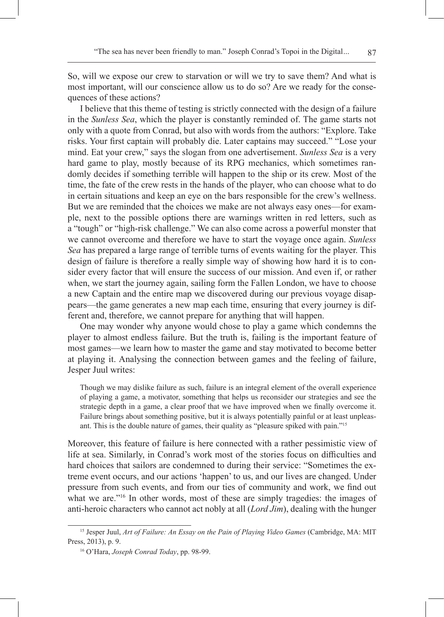So, will we expose our crew to starvation or will we try to save them? And what is most important, will our conscience allow us to do so? Are we ready for the consequences of these actions?

I believe that this theme of testing is strictly connected with the design of a failure in the *Sunless Sea*, which the player is constantly reminded of. The game starts not only with a quote from Conrad, but also with words from the authors: "Explore. Take risks. Your first captain will probably die. Later captains may succeed." "Lose your mind. Eat your crew," says the slogan from one advertisement. *Sunless Sea* is a very hard game to play, mostly because of its RPG mechanics, which sometimes randomly decides if something terrible will happen to the ship or its crew. Most of the time, the fate of the crew rests in the hands of the player, who can choose what to do in certain situations and keep an eye on the bars responsible for the crew's wellness. But we are reminded that the choices we make are not always easy ones—for example, next to the possible options there are warnings written in red letters, such as a "tough" or "high-risk challenge." We can also come across a powerful monster that we cannot overcome and therefore we have to start the voyage once again. *Sunless Sea* has prepared a large range of terrible turns of events waiting for the player. This design of failure is therefore a really simple way of showing how hard it is to consider every factor that will ensure the success of our mission. And even if, or rather when, we start the journey again, sailing form the Fallen London, we have to choose a new Captain and the entire map we discovered during our previous voyage disappears—the game generates a new map each time, ensuring that every journey is different and, therefore, we cannot prepare for anything that will happen.

One may wonder why anyone would chose to play a game which condemns the player to almost endless failure. But the truth is, failing is the important feature of most games—we learn how to master the game and stay motivated to become better at playing it. Analysing the connection between games and the feeling of failure, Jesper Juul writes:

Though we may dislike failure as such, failure is an integral element of the overall experience of playing a game, a motivator, something that helps us reconsider our strategies and see the strategic depth in a game, a clear proof that we have improved when we finally overcome it. Failure brings about something positive, but it is always potentially painful or at least unpleasant. This is the double nature of games, their quality as "pleasure spiked with pain."15

Moreover, this feature of failure is here connected with a rather pessimistic view of life at sea. Similarly, in Conrad's work most of the stories focus on difficulties and hard choices that sailors are condemned to during their service: "Sometimes the extreme event occurs, and our actions 'happen' to us, and our lives are changed. Under pressure from such events, and from our ties of community and work, we find out what we are."<sup>16</sup> In other words, most of these are simply tragedies: the images of anti-heroic characters who cannot act nobly at all (*Lord Jim*), dealing with the hunger

<sup>15</sup> Jesper Juul, *Art of Failure: An Essay on the Pain of Playing Video Games* (Cambridge, MA: MIT Press, 2013), p. 9.

<sup>16</sup> O'Hara, *Joseph Conrad Today*, pp. 98-99.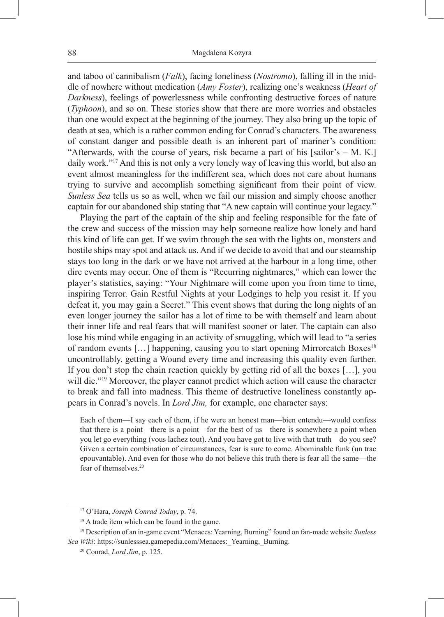and taboo of cannibalism (*Falk*), facing loneliness (*Nostromo*), falling ill in the middle of nowhere without medication (*Amy Foster*), realizing one's weakness (*Heart of Darkness*), feelings of powerlessness while confronting destructive forces of nature (*Typhoon*), and so on. These stories show that there are more worries and obstacles than one would expect at the beginning of the journey. They also bring up the topic of death at sea, which is a rather common ending for Conrad's characters. The awareness of constant danger and possible death is an inherent part of mariner's condition: "Afterwards, with the course of years, risk became a part of his [sailor's  $-$  M. K.] daily work."17 And this is not only a very lonely way of leaving this world, but also an event almost meaningless for the indifferent sea, which does not care about humans trying to survive and accomplish something significant from their point of view. *Sunless Sea* tells us so as well, when we fail our mission and simply choose another captain for our abandoned ship stating that "A new captain will continue your legacy."

Playing the part of the captain of the ship and feeling responsible for the fate of the crew and success of the mission may help someone realize how lonely and hard this kind of life can get. If we swim through the sea with the lights on, monsters and hostile ships may spot and attack us. And if we decide to avoid that and our steamship stays too long in the dark or we have not arrived at the harbour in a long time, other dire events may occur. One of them is "Recurring nightmares," which can lower the player's statistics, saying: "Your Nightmare will come upon you from time to time, inspiring Terror. Gain Restful Nights at your Lodgings to help you resist it. If you defeat it, you may gain a Secret." This event shows that during the long nights of an even longer journey the sailor has a lot of time to be with themself and learn about their inner life and real fears that will manifest sooner or later. The captain can also lose his mind while engaging in an activity of smuggling, which will lead to "a series of random events [...] happening, causing you to start opening Mirrorcatch Boxes<sup>18</sup> uncontrollably, getting a Wound every time and increasing this quality even further. If you don't stop the chain reaction quickly by getting rid of all the boxes […], you will die."<sup>19</sup> Moreover, the player cannot predict which action will cause the character to break and fall into madness. This theme of destructive loneliness constantly appears in Conrad's novels. In *Lord Jim,* for example, one character says:

Each of them—I say each of them, if he were an honest man—bien entendu—would confess that there is a point—there is a point—for the best of us—there is somewhere a point when you let go everything (vous lachez tout). And you have got to live with that truth—do you see? Given a certain combination of circumstances, fear is sure to come. Abominable funk (un trac epouvantable). And even for those who do not believe this truth there is fear all the same—the fear of themselves.20

<sup>17</sup> O'Hara, *Joseph Conrad Today*, p. 74.

<sup>&</sup>lt;sup>18</sup> A trade item which can be found in the game.

<sup>19</sup> Description of an in-game event "Menaces: Yearning, Burning" found on fan-made website *Sunless Sea Wiki*: https://sunlesssea.gamepedia.com/Menaces:\_Yearning,\_Burning.

<sup>20</sup> Conrad, *Lord Jim*, p. 125.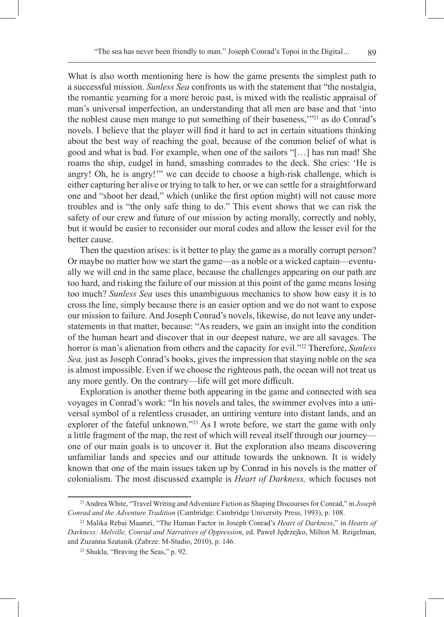What is also worth mentioning here is how the game presents the simplest path to a successful mission. *Sunless Sea* confronts us with the statement that "the nostalgia, the romantic yearning for a more heroic past, is mixed with the realistic appraisal of man's universal imperfection, an understanding that all men are base and that 'into the noblest cause men mange to put something of their baseness,'"21 as do Conrad's novels. I believe that the player will find it hard to act in certain situations thinking about the best way of reaching the goal, because of the common belief of what is good and what is bad. For example, when one of the sailors "[…] has run mad! She roams the ship, cudgel in hand, smashing comrades to the deck. She cries: 'He is angry! Oh, he is angry!'" we can decide to choose a high-risk challenge, which is either capturing her alive or trying to talk to her, or we can settle for a straightforward one and "shoot her dead," which (unlike the first option might) will not cause more troubles and is "the only safe thing to do." This event shows that we can risk the safety of our crew and future of our mission by acting morally, correctly and nobly, but it would be easier to reconsider our moral codes and allow the lesser evil for the better cause.

Then the question arises: is it better to play the game as a morally corrupt person? Or maybe no matter how we start the game—as a noble or a wicked captain—eventually we will end in the same place, because the challenges appearing on our path are too hard, and risking the failure of our mission at this point of the game means losing too much? *Sunless Sea* uses this unambiguous mechanics to show how easy it is to cross the line, simply because there is an easier option and we do not want to expose our mission to failure. And Joseph Conrad's novels, likewise, do not leave any understatements in that matter, because: "As readers, we gain an insight into the condition of the human heart and discover that in our deepest nature, we are all savages. The horror is man's alienation from others and the capacity for evil."22 Therefore, *Sunless Sea,* just as Joseph Conrad's books, gives the impression that staying noble on the sea is almost impossible. Even if we choose the righteous path, the ocean will not treat us any more gently. On the contrary—life will get more difficult.

Exploration is another theme both appearing in the game and connected with sea voyages in Conrad's work: "In his novels and tales, the swimmer evolves into a universal symbol of a relentless crusader, an untiring venture into distant lands, and an explorer of the fateful unknown."23 As I wrote before, we start the game with only a little fragment of the map, the rest of which will reveal itself through our journey one of our main goals is to uncover it. But the exploration also means discovering unfamiliar lands and species and our attitude towards the unknown. It is widely known that one of the main issues taken up by Conrad in his novels is the matter of colonialism. The most discussed example is *Heart of Darkness,* which focuses not

<sup>21</sup> Andrea White, "Travel Writing and Adventure Fiction as Shaping Discourses for Conrad," in *Joseph Conrad and the Adventure Tradition* (Cambridge: Cambridge University Press, 1993), p. 108.

<sup>22</sup> Malika Rebai Maamri, "The Human Factor in Joseph Conrad's *Heart of Darkness*," in *Hearts of Darkness: Melville, Conrad and Narratives of Oppression*, ed. Paweł Jędrzejko, Milton M. Reigelman, and Zuzanna Szatanik (Zabrze: M-Studio, 2010), p. 146.

<sup>23</sup> Shukla, "Braving the Seas," p. 92.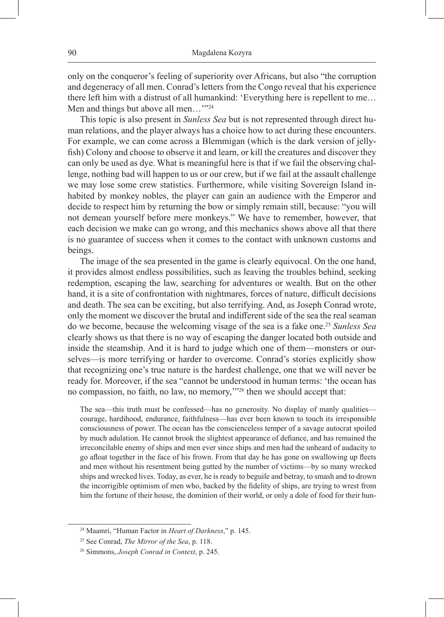only on the conqueror's feeling of superiority over Africans, but also "the corruption and degeneracy of all men. Conrad's letters from the Congo reveal that his experience there left him with a distrust of all humankind: 'Everything here is repellent to me… Men and things but above all men..."<sup>24</sup>

This topic is also present in *Sunless Sea* but is not represented through direct human relations, and the player always has a choice how to act during these encounters. For example, we can come across a Blemmigan (which is the dark version of jellyfish) Colony and choose to observe it and learn, or kill the creatures and discover they can only be used as dye. What is meaningful here is that if we fail the observing challenge, nothing bad will happen to us or our crew, but if we fail at the assault challenge we may lose some crew statistics. Furthermore, while visiting Sovereign Island inhabited by monkey nobles, the player can gain an audience with the Emperor and decide to respect him by returning the bow or simply remain still, because: "you will not demean yourself before mere monkeys." We have to remember, however, that each decision we make can go wrong, and this mechanics shows above all that there is no guarantee of success when it comes to the contact with unknown customs and beings.

The image of the sea presented in the game is clearly equivocal. On the one hand, it provides almost endless possibilities, such as leaving the troubles behind, seeking redemption, escaping the law, searching for adventures or wealth. But on the other hand, it is a site of confrontation with nightmares, forces of nature, difficult decisions and death. The sea can be exciting, but also terrifying. And, as Joseph Conrad wrote, only the moment we discover the brutal and indifferent side of the sea the real seaman do we become, because the welcoming visage of the sea is a fake one.<sup>25</sup> *Sunless Sea* clearly shows us that there is no way of escaping the danger located both outside and inside the steamship. And it is hard to judge which one of them—monsters or ourselves—is more terrifying or harder to overcome. Conrad's stories explicitly show that recognizing one's true nature is the hardest challenge, one that we will never be ready for. Moreover, if the sea "cannot be understood in human terms: 'the ocean has no compassion, no faith, no law, no memory,'"26 then we should accept that:

The sea—this truth must be confessed—has no generosity. No display of manly qualities courage, hardihood, endurance, faithfulness—has ever been known to touch its irresponsible consciousness of power. The ocean has the conscienceless temper of a savage autocrat spoiled by much adulation. He cannot brook the slightest appearance of defiance, and has remained the irreconcilable enemy of ships and men ever since ships and men had the unheard of audacity to go afloat together in the face of his frown. From that day he has gone on swallowing up fleets and men without his resentment being gutted by the number of victims—by so many wrecked ships and wrecked lives. Today, as ever, he is ready to beguile and betray, to smash and to drown the incorrigible optimism of men who, backed by the fidelity of ships, are trying to wrest from him the fortune of their house, the dominion of their world, or only a dole of food for their hun-

<sup>24</sup> Maamri, "Human Factor in *Heart of Darkness*," p. 145.

<sup>25</sup> See Conrad, *The Mirror of the Sea*, p. 118.

<sup>26</sup> Simmons, *Joseph Conrad in Context*, p. 245.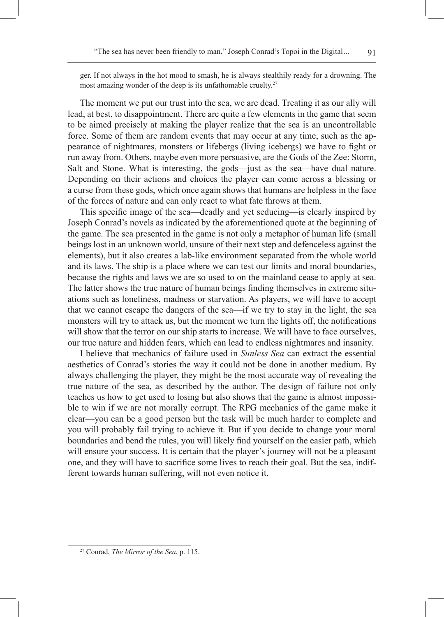ger. If not always in the hot mood to smash, he is always stealthily ready for a drowning. The most amazing wonder of the deep is its unfathomable cruelty.<sup>27</sup>

The moment we put our trust into the sea, we are dead. Treating it as our ally will lead, at best, to disappointment. There are quite a few elements in the game that seem to be aimed precisely at making the player realize that the sea is an uncontrollable force. Some of them are random events that may occur at any time, such as the appearance of nightmares, monsters or lifebergs (living icebergs) we have to fight or run away from. Others, maybe even more persuasive, are the Gods of the Zee: Storm, Salt and Stone. What is interesting, the gods—just as the sea—have dual nature. Depending on their actions and choices the player can come across a blessing or a curse from these gods, which once again shows that humans are helpless in the face of the forces of nature and can only react to what fate throws at them.

This specific image of the sea—deadly and yet seducing—is clearly inspired by Joseph Conrad's novels as indicated by the aforementioned quote at the beginning of the game. The sea presented in the game is not only a metaphor of human life (small beings lost in an unknown world, unsure of their next step and defenceless against the elements), but it also creates a lab-like environment separated from the whole world and its laws. The ship is a place where we can test our limits and moral boundaries, because the rights and laws we are so used to on the mainland cease to apply at sea. The latter shows the true nature of human beings finding themselves in extreme situations such as loneliness, madness or starvation. As players, we will have to accept that we cannot escape the dangers of the sea—if we try to stay in the light, the sea monsters will try to attack us, but the moment we turn the lights off, the notifications will show that the terror on our ship starts to increase. We will have to face ourselves, our true nature and hidden fears, which can lead to endless nightmares and insanity.

I believe that mechanics of failure used in *Sunless Sea* can extract the essential aesthetics of Conrad's stories the way it could not be done in another medium. By always challenging the player, they might be the most accurate way of revealing the true nature of the sea, as described by the author. The design of failure not only teaches us how to get used to losing but also shows that the game is almost impossible to win if we are not morally corrupt. The RPG mechanics of the game make it clear—you can be a good person but the task will be much harder to complete and you will probably fail trying to achieve it. But if you decide to change your moral boundaries and bend the rules, you will likely find yourself on the easier path, which will ensure your success. It is certain that the player's journey will not be a pleasant one, and they will have to sacrifice some lives to reach their goal. But the sea, indifferent towards human suffering, will not even notice it.

<sup>91</sup>

<sup>27</sup> Conrad, *The Mirror of the Sea*, p. 115.